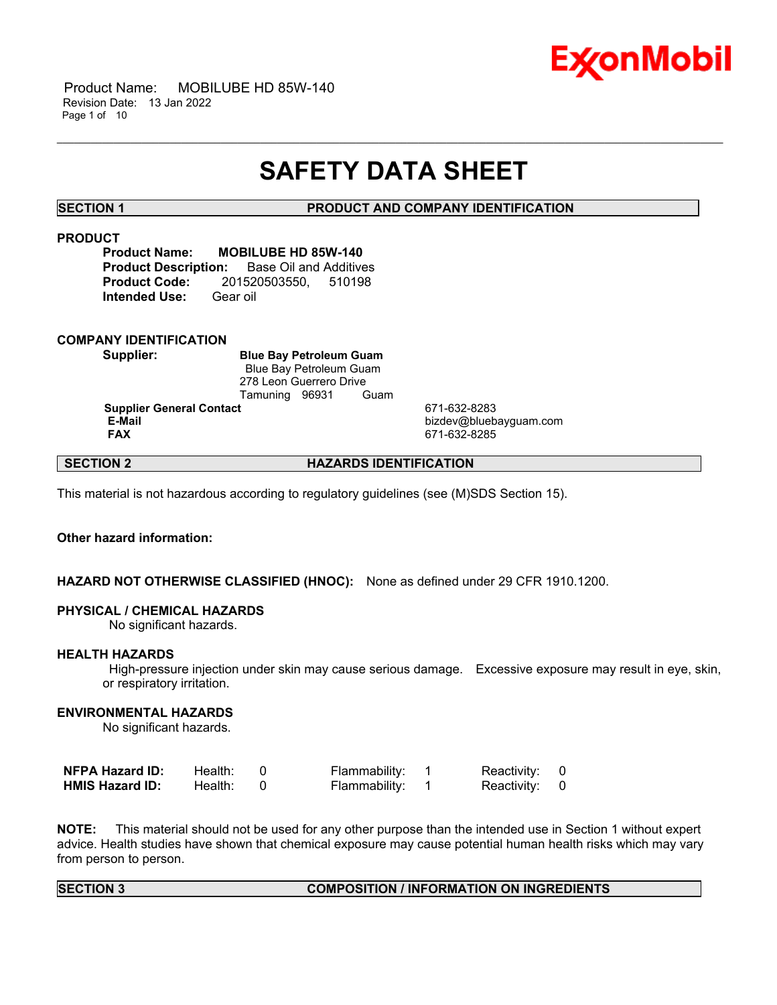

 Product Name: MOBILUBE HD 85W-140 Revision Date: 13 Jan 2022 Page 1 of 10

# **SAFETY DATA SHEET**

\_\_\_\_\_\_\_\_\_\_\_\_\_\_\_\_\_\_\_\_\_\_\_\_\_\_\_\_\_\_\_\_\_\_\_\_\_\_\_\_\_\_\_\_\_\_\_\_\_\_\_\_\_\_\_\_\_\_\_\_\_\_\_\_\_\_\_\_\_\_\_\_\_\_\_\_\_\_\_\_\_\_\_\_\_\_\_\_\_\_\_\_\_\_\_\_\_\_\_\_\_\_\_\_\_\_\_\_\_\_\_\_\_\_\_\_\_\_

**SECTION 1 PRODUCT AND COMPANY IDENTIFICATION**

### **PRODUCT**

**Product Name: MOBILUBE HD 85W-140 Product Description:** Base Oil and Additives **Product Code:** 201520503550, 510198 **Intended Use:** Gear oil

#### **COMPANY IDENTIFICATION**

**Supplier: Blue Bay Petroleum Guam** Blue Bay Petroleum Guam 278 Leon Guerrero Drive Tamuning 96931 Guam **Supplier General Contact** 671-632-8283

**E-Mail** bizdev@bluebayguam.com **FAX** 671-632-8285

# **SECTION 2 HAZARDS IDENTIFICATION**

This material is not hazardous according to regulatory guidelines (see (M)SDS Section 15).

# **Other hazard information:**

#### **HAZARD NOT OTHERWISE CLASSIFIED (HNOC):** None as defined under 29 CFR 1910.1200.

#### **PHYSICAL / CHEMICAL HAZARDS**

No significant hazards.

#### **HEALTH HAZARDS**

High-pressure injection under skin may cause serious damage. Excessive exposure may result in eye, skin, or respiratory irritation.

### **ENVIRONMENTAL HAZARDS**

No significant hazards.

| <b>NFPA Hazard ID:</b> | Health: | Flammability: | Reactivity: 0 |  |
|------------------------|---------|---------------|---------------|--|
| <b>HMIS Hazard ID:</b> | Health: | Flammability: | Reactivity: 0 |  |

**NOTE:** This material should not be used for any other purpose than the intended use in Section 1 without expert advice. Health studies have shown that chemical exposure may cause potential human health risks which may vary from person to person.

### **SECTION 3 COMPOSITION / INFORMATION ON INGREDIENTS**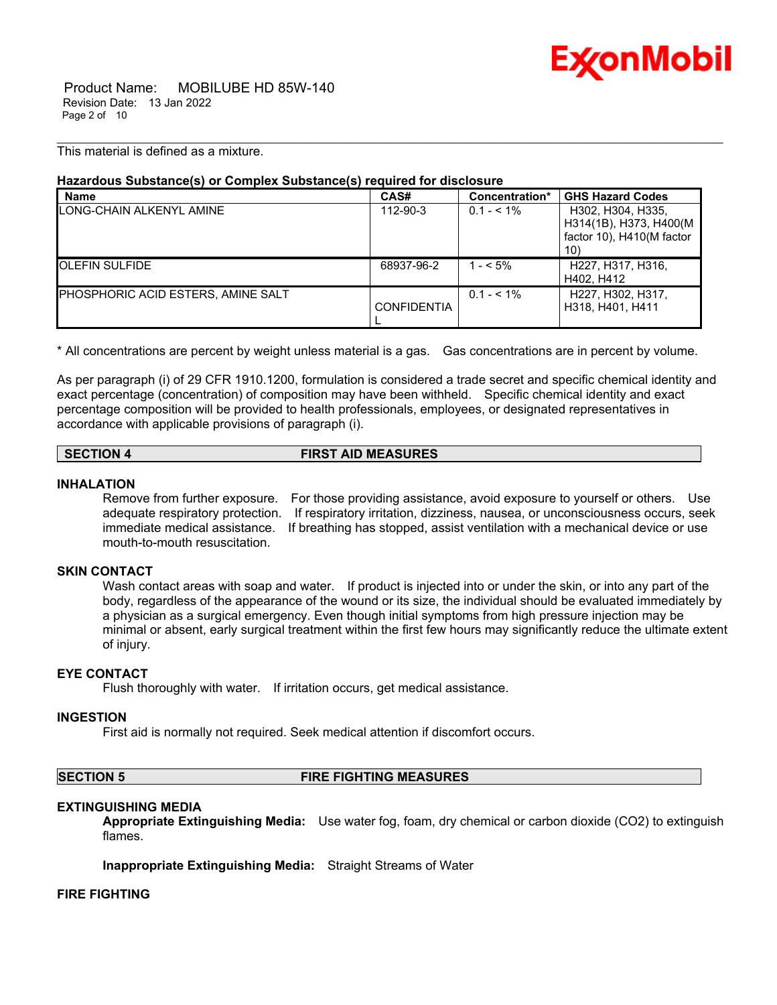

 Product Name: MOBILUBE HD 85W-140 Revision Date: 13 Jan 2022 Page 2 of 10

This material is defined as a mixture.

# **Hazardous Substance(s) or Complex Substance(s) required for disclosure**

| <b>Name</b>                        | CAS#               | Concentration* | <b>GHS Hazard Codes</b>                                                   |
|------------------------------------|--------------------|----------------|---------------------------------------------------------------------------|
| LONG-CHAIN ALKENYL AMINE           | 112-90-3           | $0.1 - 5.1\%$  | H302, H304, H335,<br>H314(1B), H373, H400(M)<br>factor 10), H410(M factor |
|                                    |                    |                | 10)                                                                       |
| <b>IOLEFIN SULFIDE</b>             | 68937-96-2         | $1 - 5\%$      | H227, H317, H316,<br>H402. H412                                           |
| PHOSPHORIC ACID ESTERS, AMINE SALT | <b>CONFIDENTIA</b> | $0.1 - 5.1\%$  | H227, H302, H317,<br>H318, H401, H411                                     |

\_\_\_\_\_\_\_\_\_\_\_\_\_\_\_\_\_\_\_\_\_\_\_\_\_\_\_\_\_\_\_\_\_\_\_\_\_\_\_\_\_\_\_\_\_\_\_\_\_\_\_\_\_\_\_\_\_\_\_\_\_\_\_\_\_\_\_\_\_\_\_\_\_\_\_\_\_\_\_\_\_\_\_\_\_\_\_\_\_\_\_\_\_\_\_\_\_\_\_\_\_\_\_\_\_\_\_\_\_\_\_\_\_\_\_\_\_\_

\* All concentrations are percent by weight unless material is a gas. Gas concentrations are in percent by volume.

As per paragraph (i) of 29 CFR 1910.1200, formulation is considered a trade secret and specific chemical identity and exact percentage (concentration) of composition may have been withheld. Specific chemical identity and exact percentage composition will be provided to health professionals, employees, or designated representatives in accordance with applicable provisions of paragraph (i).

### **SECTION 4 FIRST AID MEASURES**

#### **INHALATION**

Remove from further exposure. For those providing assistance, avoid exposure to yourself or others. Use adequate respiratory protection. If respiratory irritation, dizziness, nausea, or unconsciousness occurs, seek immediate medical assistance. If breathing has stopped, assist ventilation with a mechanical device or use mouth-to-mouth resuscitation.

# **SKIN CONTACT**

Wash contact areas with soap and water. If product is injected into or under the skin, or into any part of the body, regardless of the appearance of the wound or its size, the individual should be evaluated immediately by a physician as a surgical emergency. Even though initial symptoms from high pressure injection may be minimal or absent, early surgical treatment within the first few hours may significantly reduce the ultimate extent of injury.

#### **EYE CONTACT**

Flush thoroughly with water. If irritation occurs, get medical assistance.

#### **INGESTION**

First aid is normally not required. Seek medical attention if discomfort occurs.

# **SECTION 5 FIRE FIGHTING MEASURES**

#### **EXTINGUISHING MEDIA**

**Appropriate Extinguishing Media:** Use water fog, foam, dry chemical or carbon dioxide (CO2) to extinguish flames.

**Inappropriate Extinguishing Media:** Straight Streams of Water

#### **FIRE FIGHTING**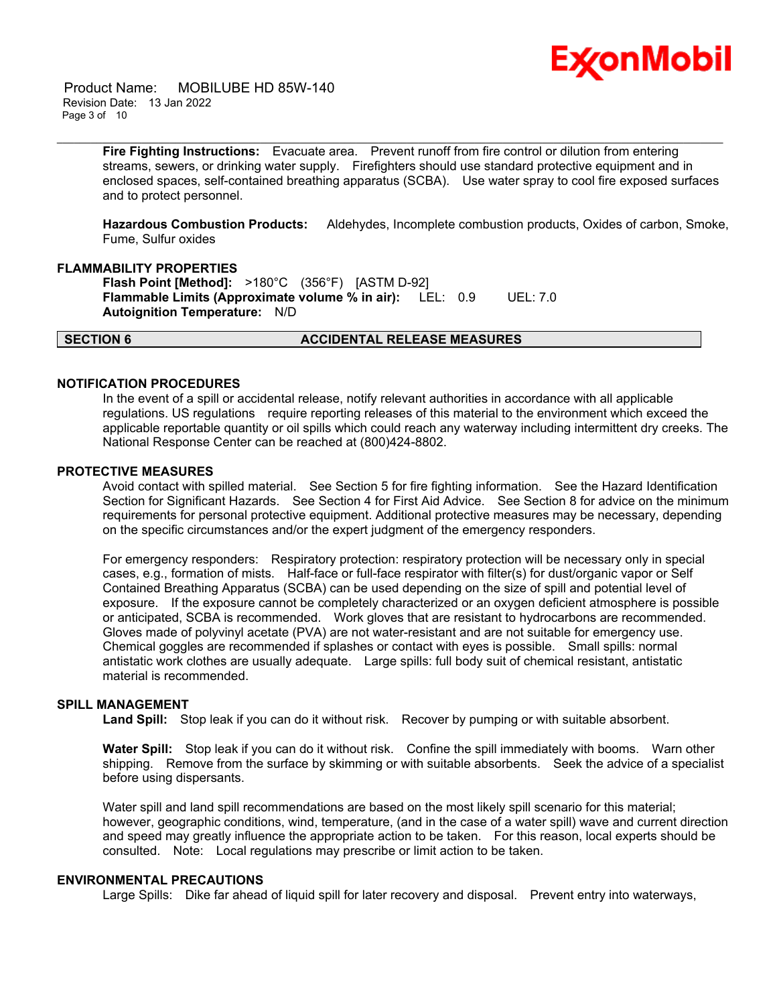

 Product Name: MOBILUBE HD 85W-140 Revision Date: 13 Jan 2022 Page 3 of 10

> **Fire Fighting Instructions:** Evacuate area. Prevent runoff from fire control or dilution from entering streams, sewers, or drinking water supply. Firefighters should use standard protective equipment and in enclosed spaces, self-contained breathing apparatus (SCBA). Use water spray to cool fire exposed surfaces and to protect personnel.

\_\_\_\_\_\_\_\_\_\_\_\_\_\_\_\_\_\_\_\_\_\_\_\_\_\_\_\_\_\_\_\_\_\_\_\_\_\_\_\_\_\_\_\_\_\_\_\_\_\_\_\_\_\_\_\_\_\_\_\_\_\_\_\_\_\_\_\_\_\_\_\_\_\_\_\_\_\_\_\_\_\_\_\_\_\_\_\_\_\_\_\_\_\_\_\_\_\_\_\_\_\_\_\_\_\_\_\_\_\_\_\_\_\_\_\_\_\_

**Hazardous Combustion Products:** Aldehydes, Incomplete combustion products, Oxides of carbon, Smoke, Fume, Sulfur oxides

#### **FLAMMABILITY PROPERTIES**

**Flash Point [Method]:** >180°C (356°F) [ASTM D-92] **Flammable Limits (Approximate volume % in air):** LEL: 0.9 UEL: 7.0 **Autoignition Temperature:** N/D

#### **SECTION 6 ACCIDENTAL RELEASE MEASURES**

# **NOTIFICATION PROCEDURES**

In the event of a spill or accidental release, notify relevant authorities in accordance with all applicable regulations. US regulations require reporting releases of this material to the environment which exceed the applicable reportable quantity or oil spills which could reach any waterway including intermittent dry creeks. The National Response Center can be reached at (800)424-8802.

#### **PROTECTIVE MEASURES**

Avoid contact with spilled material. See Section 5 for fire fighting information. See the Hazard Identification Section for Significant Hazards. See Section 4 for First Aid Advice. See Section 8 for advice on the minimum requirements for personal protective equipment. Additional protective measures may be necessary, depending on the specific circumstances and/or the expert judgment of the emergency responders.

For emergency responders: Respiratory protection: respiratory protection will be necessary only in special cases, e.g., formation of mists. Half-face or full-face respirator with filter(s) for dust/organic vapor or Self Contained Breathing Apparatus (SCBA) can be used depending on the size of spill and potential level of exposure. If the exposure cannot be completely characterized or an oxygen deficient atmosphere is possible or anticipated, SCBA is recommended. Work gloves that are resistant to hydrocarbons are recommended. Gloves made of polyvinyl acetate (PVA) are not water-resistant and are not suitable for emergency use. Chemical goggles are recommended if splashes or contact with eyes is possible. Small spills: normal antistatic work clothes are usually adequate. Large spills: full body suit of chemical resistant, antistatic material is recommended.

# **SPILL MANAGEMENT**

**Land Spill:** Stop leak if you can do it without risk. Recover by pumping or with suitable absorbent.

**Water Spill:** Stop leak if you can do it without risk. Confine the spill immediately with booms. Warn other shipping. Remove from the surface by skimming or with suitable absorbents. Seek the advice of a specialist before using dispersants.

Water spill and land spill recommendations are based on the most likely spill scenario for this material; however, geographic conditions, wind, temperature, (and in the case of a water spill) wave and current direction and speed may greatly influence the appropriate action to be taken. For this reason, local experts should be consulted. Note: Local regulations may prescribe or limit action to be taken.

# **ENVIRONMENTAL PRECAUTIONS**

Large Spills: Dike far ahead of liquid spill for later recovery and disposal. Prevent entry into waterways,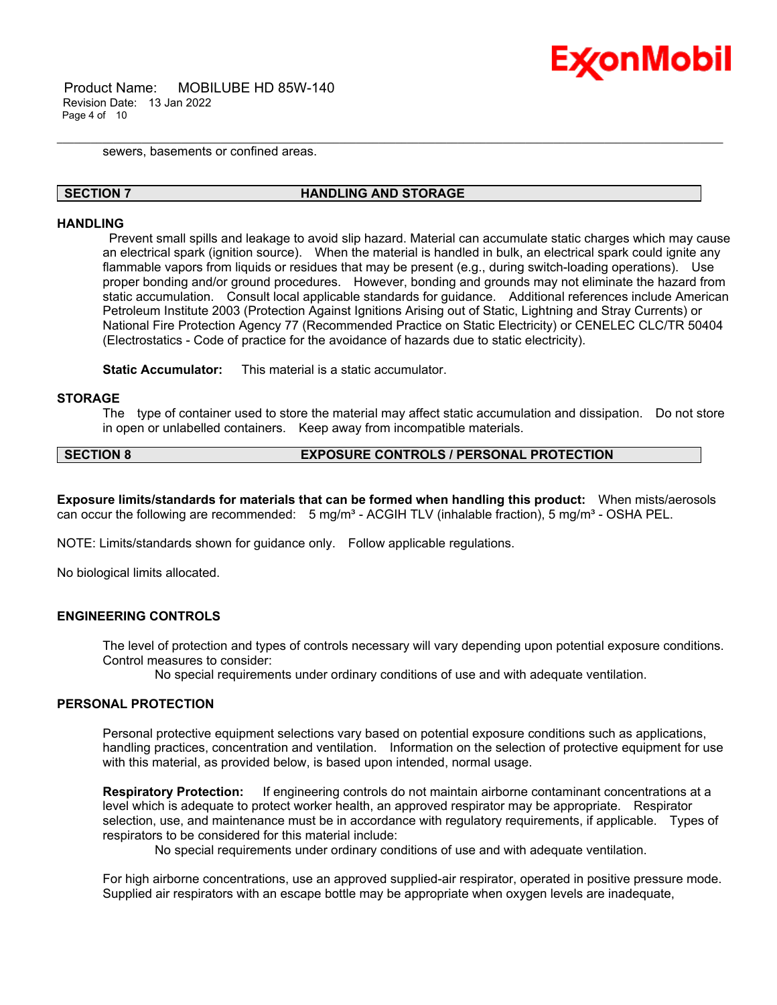

 Product Name: MOBILUBE HD 85W-140 Revision Date: 13 Jan 2022 Page 4 of 10

sewers, basements or confined areas.

#### **SECTION 7 HANDLING AND STORAGE**

\_\_\_\_\_\_\_\_\_\_\_\_\_\_\_\_\_\_\_\_\_\_\_\_\_\_\_\_\_\_\_\_\_\_\_\_\_\_\_\_\_\_\_\_\_\_\_\_\_\_\_\_\_\_\_\_\_\_\_\_\_\_\_\_\_\_\_\_\_\_\_\_\_\_\_\_\_\_\_\_\_\_\_\_\_\_\_\_\_\_\_\_\_\_\_\_\_\_\_\_\_\_\_\_\_\_\_\_\_\_\_\_\_\_\_\_\_\_

#### **HANDLING**

Prevent small spills and leakage to avoid slip hazard. Material can accumulate static charges which may cause an electrical spark (ignition source). When the material is handled in bulk, an electrical spark could ignite any flammable vapors from liquids or residues that may be present (e.g., during switch-loading operations). Use proper bonding and/or ground procedures. However, bonding and grounds may not eliminate the hazard from static accumulation. Consult local applicable standards for guidance. Additional references include American Petroleum Institute 2003 (Protection Against Ignitions Arising out of Static, Lightning and Stray Currents) or National Fire Protection Agency 77 (Recommended Practice on Static Electricity) or CENELEC CLC/TR 50404 (Electrostatics - Code of practice for the avoidance of hazards due to static electricity).

**Static Accumulator:** This material is a static accumulator.

### **STORAGE**

The type of container used to store the material may affect static accumulation and dissipation. Do not store in open or unlabelled containers. Keep away from incompatible materials.

# **SECTION 8 EXPOSURE CONTROLS / PERSONAL PROTECTION**

**Exposure limits/standards for materials that can be formed when handling this product:** When mists/aerosols can occur the following are recommended:  $5 \text{ mg/m}^3$  - ACGIH TLV (inhalable fraction),  $5 \text{ mg/m}^3$  - OSHA PEL.

NOTE: Limits/standards shown for guidance only. Follow applicable regulations.

No biological limits allocated.

# **ENGINEERING CONTROLS**

The level of protection and types of controls necessary will vary depending upon potential exposure conditions. Control measures to consider:

No special requirements under ordinary conditions of use and with adequate ventilation.

#### **PERSONAL PROTECTION**

Personal protective equipment selections vary based on potential exposure conditions such as applications, handling practices, concentration and ventilation. Information on the selection of protective equipment for use with this material, as provided below, is based upon intended, normal usage.

**Respiratory Protection:** If engineering controls do not maintain airborne contaminant concentrations at a level which is adequate to protect worker health, an approved respirator may be appropriate. Respirator selection, use, and maintenance must be in accordance with regulatory requirements, if applicable. Types of respirators to be considered for this material include:

No special requirements under ordinary conditions of use and with adequate ventilation.

For high airborne concentrations, use an approved supplied-air respirator, operated in positive pressure mode. Supplied air respirators with an escape bottle may be appropriate when oxygen levels are inadequate,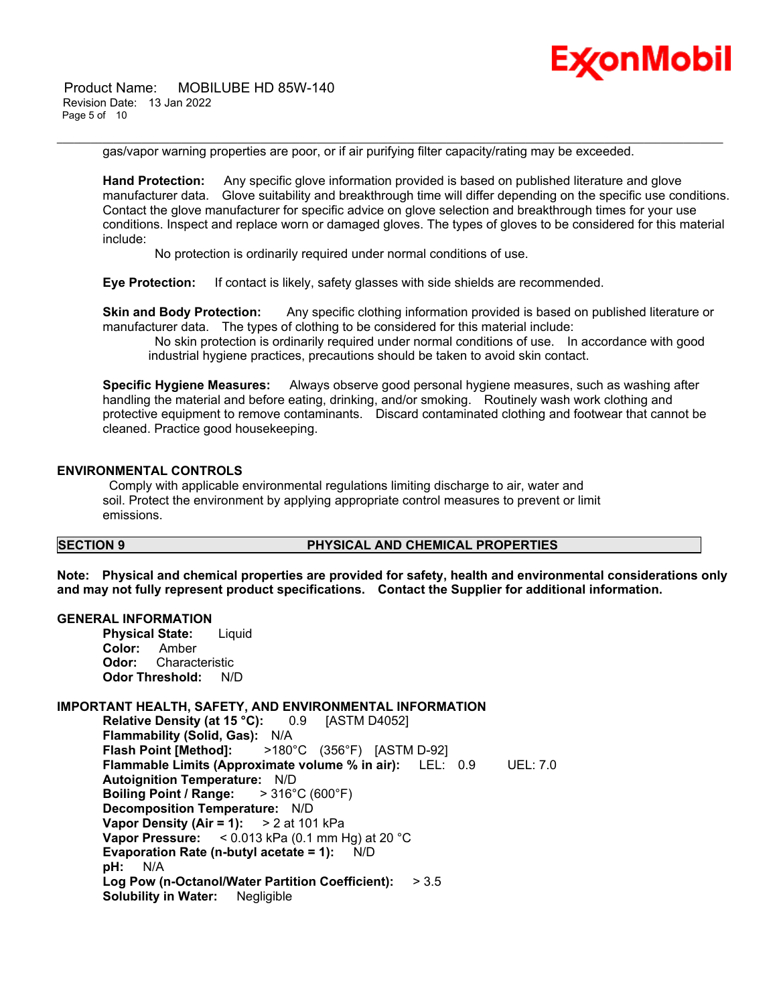Product Name: MOBILUBE HD 85W-140 Revision Date: 13 Jan 2022 Page 5 of 10



gas/vapor warning properties are poor, or if air purifying filter capacity/rating may be exceeded.

\_\_\_\_\_\_\_\_\_\_\_\_\_\_\_\_\_\_\_\_\_\_\_\_\_\_\_\_\_\_\_\_\_\_\_\_\_\_\_\_\_\_\_\_\_\_\_\_\_\_\_\_\_\_\_\_\_\_\_\_\_\_\_\_\_\_\_\_\_\_\_\_\_\_\_\_\_\_\_\_\_\_\_\_\_\_\_\_\_\_\_\_\_\_\_\_\_\_\_\_\_\_\_\_\_\_\_\_\_\_\_\_\_\_\_\_\_\_

**Hand Protection:** Any specific glove information provided is based on published literature and glove manufacturer data. Glove suitability and breakthrough time will differ depending on the specific use conditions. Contact the glove manufacturer for specific advice on glove selection and breakthrough times for your use conditions. Inspect and replace worn or damaged gloves. The types of gloves to be considered for this material include:

No protection is ordinarily required under normal conditions of use.

**Eye Protection:** If contact is likely, safety glasses with side shields are recommended.

**Skin and Body Protection:** Any specific clothing information provided is based on published literature or manufacturer data. The types of clothing to be considered for this material include:

No skin protection is ordinarily required under normal conditions of use. In accordance with good industrial hygiene practices, precautions should be taken to avoid skin contact.

**Specific Hygiene Measures:** Always observe good personal hygiene measures, such as washing after handling the material and before eating, drinking, and/or smoking. Routinely wash work clothing and protective equipment to remove contaminants. Discard contaminated clothing and footwear that cannot be cleaned. Practice good housekeeping.

#### **ENVIRONMENTAL CONTROLS**

Comply with applicable environmental regulations limiting discharge to air, water and soil. Protect the environment by applying appropriate control measures to prevent or limit emissions.

# **SECTION 9 PHYSICAL AND CHEMICAL PROPERTIES**

**Note: Physical and chemical properties are provided for safety, health and environmental considerations only and may not fully represent product specifications. Contact the Supplier for additional information.**

#### **GENERAL INFORMATION**

**Physical State:** Liquid **Color:** Amber **Odor:** Characteristic **Odor Threshold:** N/D

#### **IMPORTANT HEALTH, SAFETY, AND ENVIRONMENTAL INFORMATION**

**Relative Density (at 15 °C):** 0.9 [ASTM D4052] **Flammability (Solid, Gas):** N/A **Flash Point [Method]:** >180°C (356°F) [ASTM D-92] **Flammable Limits (Approximate volume % in air):** LEL: 0.9 UEL: 7.0 **Autoignition Temperature:** N/D **Boiling Point / Range:** > 316°C (600°F) **Decomposition Temperature:** N/D **Vapor Density (Air = 1):** > 2 at 101 kPa **Vapor Pressure:** < 0.013 kPa (0.1 mm Hg) at 20 °C **Evaporation Rate (n-butyl acetate = 1):** N/D **pH:** N/A **Log Pow (n-Octanol/Water Partition Coefficient):** > 3.5 **Solubility in Water:** Negligible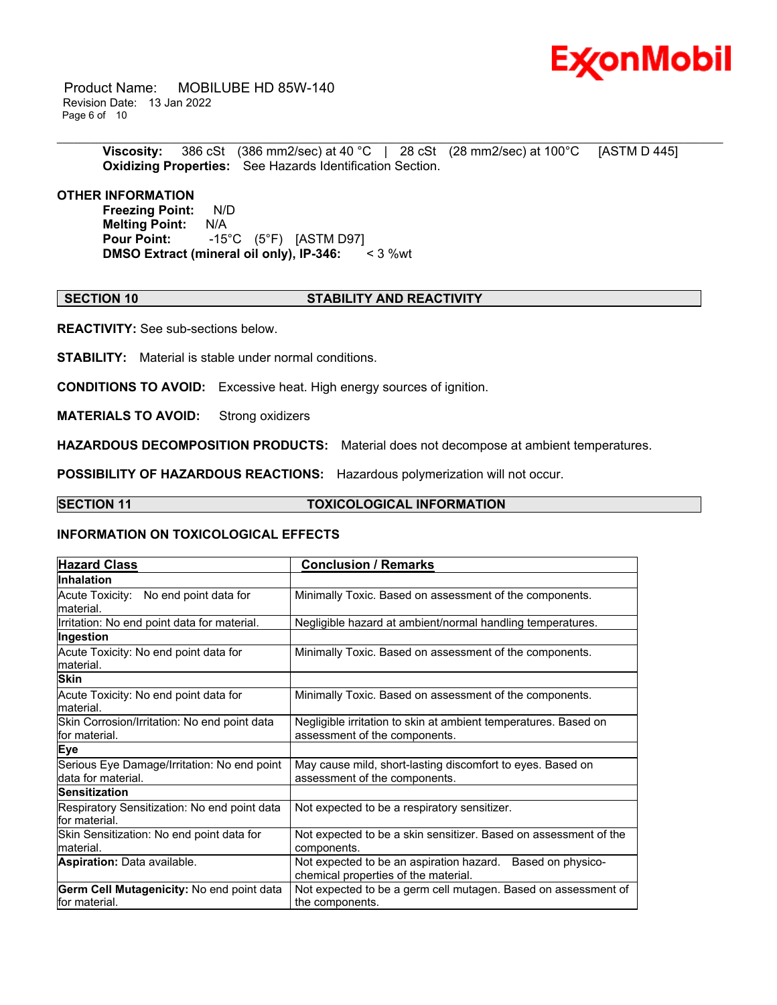

 Product Name: MOBILUBE HD 85W-140 Revision Date: 13 Jan 2022 Page 6 of 10

\_\_\_\_\_\_\_\_\_\_\_\_\_\_\_\_\_\_\_\_\_\_\_\_\_\_\_\_\_\_\_\_\_\_\_\_\_\_\_\_\_\_\_\_\_\_\_\_\_\_\_\_\_\_\_\_\_\_\_\_\_\_\_\_\_\_\_\_\_\_\_\_\_\_\_\_\_\_\_\_\_\_\_\_\_\_\_\_\_\_\_\_\_\_\_\_\_\_\_\_\_\_\_\_\_\_\_\_\_\_\_\_\_\_\_\_\_\_ **Viscosity:** 386 cSt (386 mm2/sec) at 40 °C | 28 cSt (28 mm2/sec) at 100 °C [ASTM D 445] **Oxidizing Properties:** See Hazards Identification Section.

# **OTHER INFORMATION**

**Freezing Point:** N/D **Melting Point:** N/A **Pour Point:** -15°C (5°F) [ASTM D97]<br>**DMSO Extract (mineral oil only), IP-346:** < 3 %wt **DMSO** Extract (mineral oil only), IP-346:

### **SECTION 10 STABILITY AND REACTIVITY**

**REACTIVITY:** See sub-sections below.

**STABILITY:** Material is stable under normal conditions.

**CONDITIONS TO AVOID:** Excessive heat. High energy sources of ignition.

**MATERIALS TO AVOID:** Strong oxidizers

**HAZARDOUS DECOMPOSITION PRODUCTS:** Material does not decompose at ambient temperatures.

**POSSIBILITY OF HAZARDOUS REACTIONS:** Hazardous polymerization will not occur.

#### **SECTION 11 TOXICOLOGICAL INFORMATION**

#### **INFORMATION ON TOXICOLOGICAL EFFECTS**

| <b>Hazard Class</b>                                               | <b>Conclusion / Remarks</b>                                                                        |  |  |
|-------------------------------------------------------------------|----------------------------------------------------------------------------------------------------|--|--|
| <b>Inhalation</b>                                                 |                                                                                                    |  |  |
| Acute Toxicity: No end point data for<br>material.                | Minimally Toxic. Based on assessment of the components.                                            |  |  |
| Irritation: No end point data for material.                       | Negligible hazard at ambient/normal handling temperatures.                                         |  |  |
| Ingestion                                                         |                                                                                                    |  |  |
| Acute Toxicity: No end point data for<br>material.                | Minimally Toxic. Based on assessment of the components.                                            |  |  |
| <b>Skin</b>                                                       |                                                                                                    |  |  |
| Acute Toxicity: No end point data for<br>lmaterial.               | Minimally Toxic. Based on assessment of the components.                                            |  |  |
| Skin Corrosion/Irritation: No end point data<br>lfor material.    | Negligible irritation to skin at ambient temperatures. Based on<br>assessment of the components.   |  |  |
| <b>Eye</b>                                                        |                                                                                                    |  |  |
| Serious Eye Damage/Irritation: No end point<br>data for material. | May cause mild, short-lasting discomfort to eyes. Based on<br>assessment of the components.        |  |  |
| <b>Sensitization</b>                                              |                                                                                                    |  |  |
| Respiratory Sensitization: No end point data<br>for material.     | Not expected to be a respiratory sensitizer.                                                       |  |  |
| Skin Sensitization: No end point data for<br>material.            | Not expected to be a skin sensitizer. Based on assessment of the<br>components.                    |  |  |
| <b>Aspiration: Data available.</b>                                | Not expected to be an aspiration hazard. Based on physico-<br>chemical properties of the material. |  |  |
| Germ Cell Mutagenicity: No end point data<br>lfor material.       | Not expected to be a germ cell mutagen. Based on assessment of<br>the components.                  |  |  |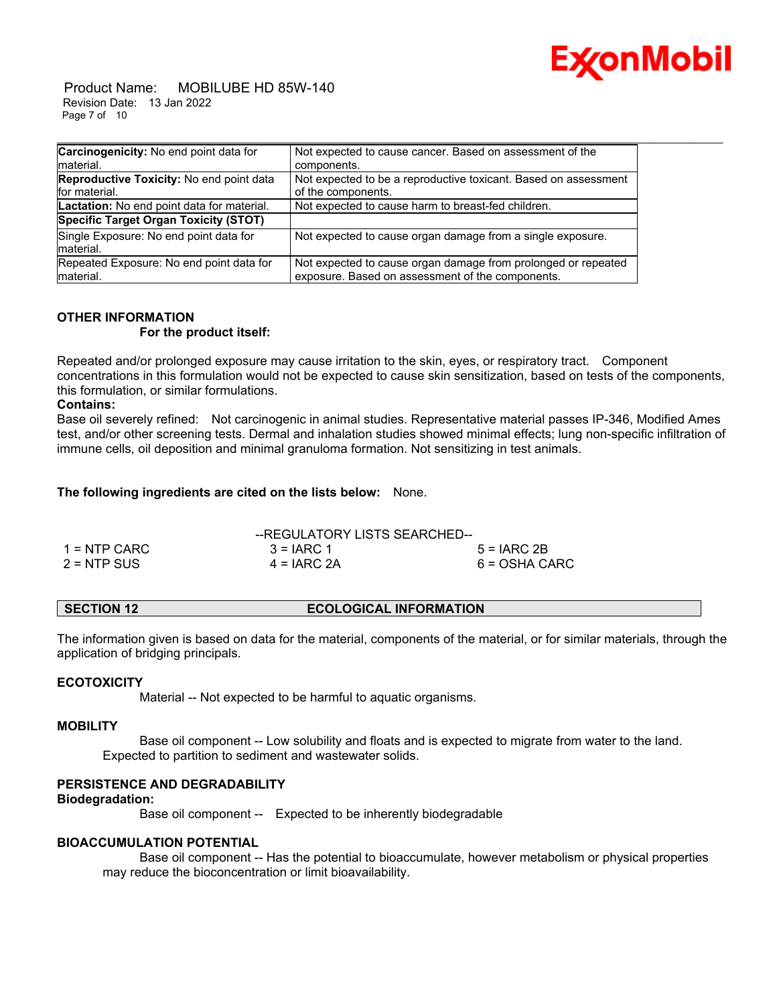

 Product Name: MOBILUBE HD 85W-140 Revision Date: 13 Jan 2022 Page 7 of 10

| Carcinogenicity: No end point data for                    | Not expected to cause cancer. Based on assessment of the                              |
|-----------------------------------------------------------|---------------------------------------------------------------------------------------|
| Imaterial.                                                | components.                                                                           |
| Reproductive Toxicity: No end point data<br>for material. | Not expected to be a reproductive toxicant. Based on assessment<br>of the components. |
| Lactation: No end point data for material.                | Not expected to cause harm to breast-fed children.                                    |
| Specific Target Organ Toxicity (STOT)                     |                                                                                       |
| Single Exposure: No end point data for                    | Not expected to cause organ damage from a single exposure.                            |
| material.                                                 |                                                                                       |
| Repeated Exposure: No end point data for                  | Not expected to cause organ damage from prolonged or repeated                         |
| material.                                                 | exposure. Based on assessment of the components.                                      |

# **OTHER INFORMATION For the product itself:**

Repeated and/or prolonged exposure may cause irritation to the skin, eyes, or respiratory tract. Component concentrations in this formulation would not be expected to cause skin sensitization, based on tests of the components, this formulation, or similar formulations.

# **Contains:**

Base oil severely refined: Not carcinogenic in animal studies. Representative material passes IP-346, Modified Ames test, and/or other screening tests. Dermal and inhalation studies showed minimal effects; lung non-specific infiltration of immune cells, oil deposition and minimal granuloma formation. Not sensitizing in test animals.

**The following ingredients are cited on the lists below:** None.

|                | --REGULATORY LISTS SEARCHED-- |               |
|----------------|-------------------------------|---------------|
| $1 =$ NTP CARC | $3 = IARC 1$                  | $5 = IARC2B$  |
| $2 = NTP$ SUS  | $4 = IARC 2A$                 | 6 = OSHA CARC |

# **SECTION 12 ECOLOGICAL INFORMATION**

The information given is based on data for the material, components of the material, or for similar materials, through the application of bridging principals.

# **ECOTOXICITY**

Material -- Not expected to be harmful to aquatic organisms.

#### **MOBILITY**

 Base oil component -- Low solubility and floats and is expected to migrate from water to the land. Expected to partition to sediment and wastewater solids.

# **PERSISTENCE AND DEGRADABILITY**

# **Biodegradation:**

Base oil component -- Expected to be inherently biodegradable

# **BIOACCUMULATION POTENTIAL**

 Base oil component -- Has the potential to bioaccumulate, however metabolism or physical properties may reduce the bioconcentration or limit bioavailability.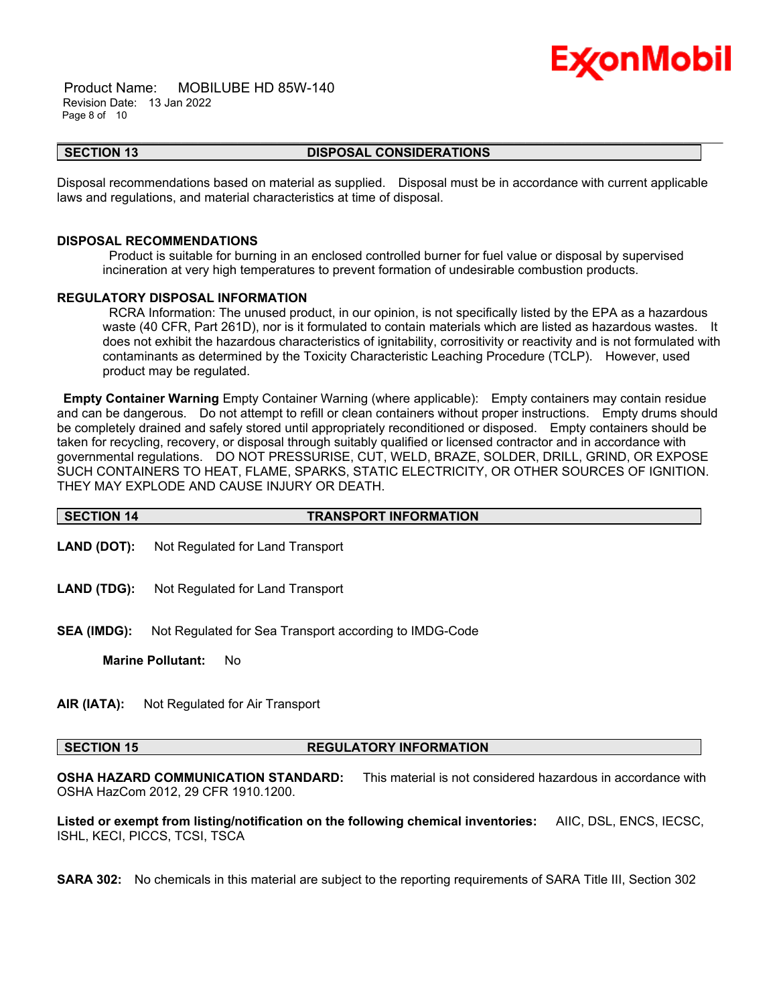

 Product Name: MOBILUBE HD 85W-140 Revision Date: 13 Jan 2022 Page 8 of 10

#### **SECTION 13 DISPOSAL CONSIDERATIONS**

\_\_\_\_\_\_\_\_\_\_\_\_\_\_\_\_\_\_\_\_\_\_\_\_\_\_\_\_\_\_\_\_\_\_\_\_\_\_\_\_\_\_\_\_\_\_\_\_\_\_\_\_\_\_\_\_\_\_\_\_\_\_\_\_\_\_\_\_\_\_\_\_\_\_\_\_\_\_\_\_\_\_\_\_\_\_\_\_\_\_\_\_\_\_\_\_\_\_\_\_\_\_\_\_\_\_\_\_\_\_\_\_\_\_\_\_\_\_

Disposal recommendations based on material as supplied. Disposal must be in accordance with current applicable laws and regulations, and material characteristics at time of disposal.

#### **DISPOSAL RECOMMENDATIONS**

Product is suitable for burning in an enclosed controlled burner for fuel value or disposal by supervised incineration at very high temperatures to prevent formation of undesirable combustion products.

### **REGULATORY DISPOSAL INFORMATION**

RCRA Information: The unused product, in our opinion, is not specifically listed by the EPA as a hazardous waste (40 CFR, Part 261D), nor is it formulated to contain materials which are listed as hazardous wastes. It does not exhibit the hazardous characteristics of ignitability, corrositivity or reactivity and is not formulated with contaminants as determined by the Toxicity Characteristic Leaching Procedure (TCLP). However, used product may be regulated.

**Empty Container Warning** Empty Container Warning (where applicable): Empty containers may contain residue and can be dangerous. Do not attempt to refill or clean containers without proper instructions. Empty drums should be completely drained and safely stored until appropriately reconditioned or disposed. Empty containers should be taken for recycling, recovery, or disposal through suitably qualified or licensed contractor and in accordance with governmental regulations. DO NOT PRESSURISE, CUT, WELD, BRAZE, SOLDER, DRILL, GRIND, OR EXPOSE SUCH CONTAINERS TO HEAT, FLAME, SPARKS, STATIC ELECTRICITY, OR OTHER SOURCES OF IGNITION. THEY MAY EXPLODE AND CAUSE INJURY OR DEATH.

| <b>TRANSPORT INFORMATION</b><br><b>SECTION 14</b> |
|---------------------------------------------------|
|---------------------------------------------------|

- **LAND (DOT):** Not Regulated for Land Transport
- **LAND (TDG):** Not Regulated for Land Transport
- **SEA (IMDG):** Not Regulated for Sea Transport according to IMDG-Code

**Marine Pollutant:** No

**AIR (IATA):** Not Regulated for Air Transport

#### **SECTION 15 REGULATORY INFORMATION**

**OSHA HAZARD COMMUNICATION STANDARD:** This material is not considered hazardous in accordance with OSHA HazCom 2012, 29 CFR 1910.1200.

**Listed or exempt from listing/notification on the following chemical inventories:** AIIC, DSL, ENCS, IECSC, ISHL, KECI, PICCS, TCSI, TSCA

**SARA 302:** No chemicals in this material are subject to the reporting requirements of SARA Title III, Section 302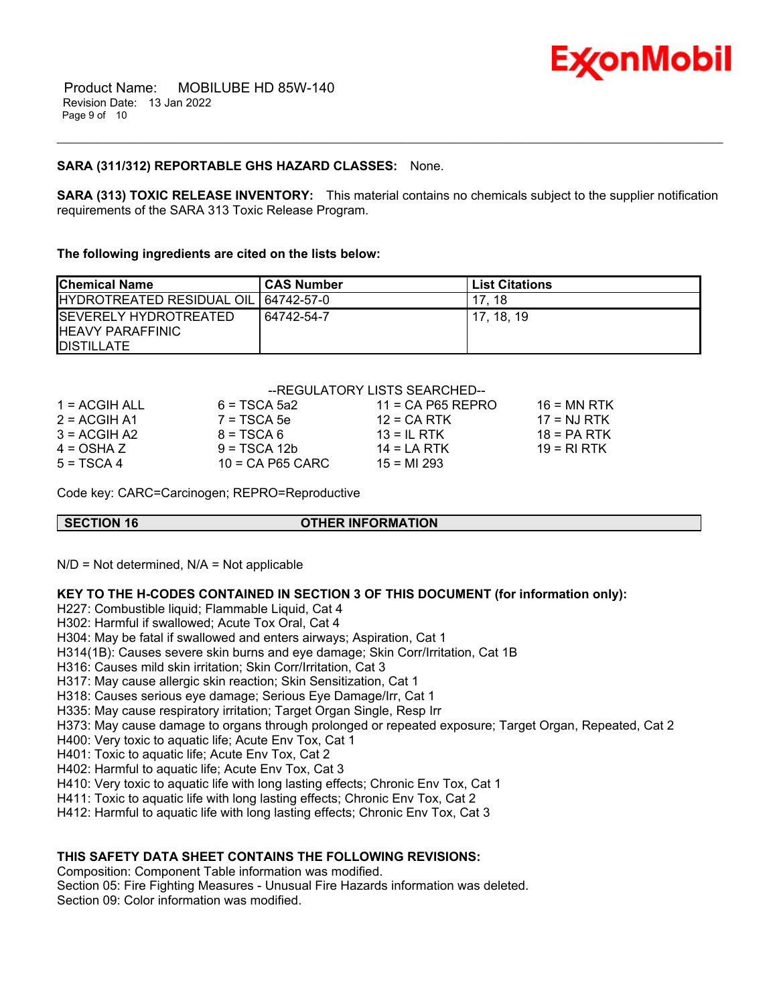

# **SARA (311/312) REPORTABLE GHS HAZARD CLASSES:** None.

**SARA (313) TOXIC RELEASE INVENTORY:** This material contains no chemicals subject to the supplier notification requirements of the SARA 313 Toxic Release Program.

\_\_\_\_\_\_\_\_\_\_\_\_\_\_\_\_\_\_\_\_\_\_\_\_\_\_\_\_\_\_\_\_\_\_\_\_\_\_\_\_\_\_\_\_\_\_\_\_\_\_\_\_\_\_\_\_\_\_\_\_\_\_\_\_\_\_\_\_\_\_\_\_\_\_\_\_\_\_\_\_\_\_\_\_\_\_\_\_\_\_\_\_\_\_\_\_\_\_\_\_\_\_\_\_\_\_\_\_\_\_\_\_\_\_\_\_\_\_

#### **The following ingredients are cited on the lists below:**

| <b>Chemical Name</b>                                                     | <b>CAS Number</b> | <b>List Citations</b> |
|--------------------------------------------------------------------------|-------------------|-----------------------|
| IHYDROTREATED RESIDUAL OIL   64742-57-0                                  |                   | 18                    |
| ISEVERELY HYDROTREATED<br><b>IHEAVY PARAFFINIC</b><br><b>IDISTILLATE</b> | 64742-54-7        | 17. 18. 19            |

# --REGULATORY LISTS SEARCHED--

| 1 = ACGIH ALL  | $6 = TSCA$ 5a2     | $11 = CA$ P65 REPRO | $16$ = MN RTK |
|----------------|--------------------|---------------------|---------------|
| $2 = ACGIH A1$ | $7 = TSCA5e$       | $12$ = CA RTK       | $17 = NJ RTK$ |
| $3 = ACGIH A2$ | $8 = TSCA6$        | $13 = IL$ RTK       | $18 = PA RTK$ |
| $4 = OSHA Z$   | $9 = TSCA 12b$     | $14 = I A RTK$      | $19 = RIRTK$  |
| $5 = TSCA4$    | $10 = CA$ P65 CARC | $15 = M1293$        |               |

Code key: CARC=Carcinogen; REPRO=Reproductive

# **SECTION 16 OTHER INFORMATION**

 $N/D = Not determined$ ,  $N/A = Not applicable$ 

#### **KEY TO THE H-CODES CONTAINED IN SECTION 3 OF THIS DOCUMENT (for information only):**

H227: Combustible liquid; Flammable Liquid, Cat 4

H302: Harmful if swallowed; Acute Tox Oral, Cat 4

- H304: May be fatal if swallowed and enters airways; Aspiration, Cat 1
- H314(1B): Causes severe skin burns and eye damage; Skin Corr/Irritation, Cat 1B

H316: Causes mild skin irritation; Skin Corr/Irritation, Cat 3

H317: May cause allergic skin reaction; Skin Sensitization, Cat 1

H318: Causes serious eye damage; Serious Eye Damage/Irr, Cat 1

H335: May cause respiratory irritation; Target Organ Single, Resp Irr

H373: May cause damage to organs through prolonged or repeated exposure; Target Organ, Repeated, Cat 2

H400: Very toxic to aquatic life; Acute Env Tox, Cat 1

H401: Toxic to aquatic life; Acute Env Tox, Cat 2

H402: Harmful to aquatic life; Acute Env Tox, Cat 3

H410: Very toxic to aquatic life with long lasting effects; Chronic Env Tox, Cat 1

H411: Toxic to aquatic life with long lasting effects; Chronic Env Tox, Cat 2

H412: Harmful to aquatic life with long lasting effects; Chronic Env Tox, Cat 3

#### **THIS SAFETY DATA SHEET CONTAINS THE FOLLOWING REVISIONS:**

Composition: Component Table information was modified. Section 05: Fire Fighting Measures - Unusual Fire Hazards information was deleted. Section 09: Color information was modified.